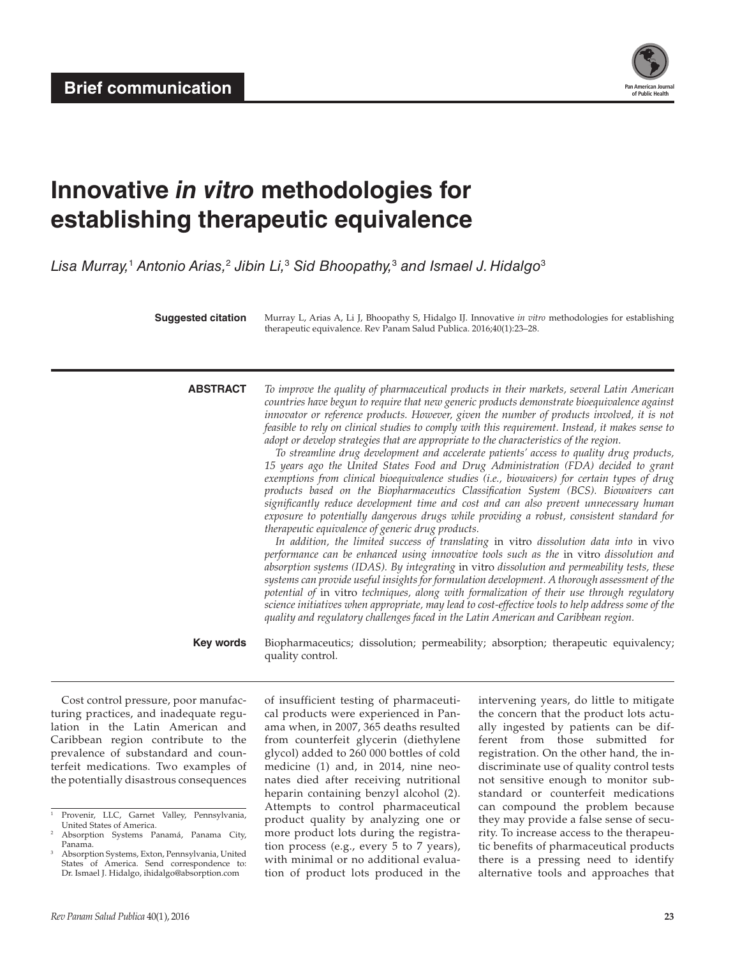

# **Innovative** *in vitro* **methodologies for establishing therapeutic equivalence**

*Lisa Murray,*<sup>1</sup>  *Antonio Arias,*<sup>2</sup>  *Jibin Li,*<sup>3</sup>  *Sid Bhoopathy,*<sup>3</sup>  *and Ismael J. Hidalgo*<sup>3</sup>

**Suggested citation** Murray L, Arias A, Li J, Bhoopathy S, Hidalgo IJ. Innovative *in vitro* methodologies for establishing therapeutic equivalence. Rev Panam Salud Publica. 2016;40(1):23–28.

**ABSTRACT** *To improve the quality of pharmaceutical products in their markets, several Latin American countries have begun to require that new generic products demonstrate bioequivalence against innovator or reference products. However, given the number of products involved, it is not feasible to rely on clinical studies to comply with this requirement. Instead, it makes sense to adopt or develop strategies that are appropriate to the characteristics of the region.*

*To streamline drug development and accelerate patients' access to quality drug products, 15 years ago the United States Food and Drug Administration (FDA) decided to grant exemptions from clinical bioequivalence studies (i.e., biowaivers) for certain types of drug products based on the Biopharmaceutics Classification System (BCS). Biowaivers can significantly reduce development time and cost and can also prevent unnecessary human exposure to potentially dangerous drugs while providing a robust, consistent standard for therapeutic equivalence of generic drug products.*

*In addition, the limited success of translating* in vitro *dissolution data into* in vivo *performance can be enhanced using innovative tools such as the* in vitro *dissolution and absorption systems (IDAS). By integrating* in vitro *dissolution and permeability tests, these systems can provide useful insights for formulation development. A thorough assessment of the potential of* in vitro *techniques, along with formalization of their use through regulatory science initiatives when appropriate, may lead to cost-effective tools to help address some of the quality and regulatory challenges faced in the Latin American and Caribbean region.*

**Key words** Biopharmaceutics; dissolution; permeability; absorption; therapeutic equivalency; quality control.

Cost control pressure, poor manufacturing practices, and inadequate regulation in the Latin American and Caribbean region contribute to the prevalence of substandard and counterfeit medications. Two examples of the potentially disastrous consequences

of insufficient testing of pharmaceutical products were experienced in Panama when, in 2007, 365 deaths resulted from counterfeit glycerin (diethylene glycol) added to 260 000 bottles of cold medicine (1) and, in 2014, nine neonates died after receiving nutritional heparin containing benzyl alcohol (2). Attempts to control pharmaceutical product quality by analyzing one or more product lots during the registration process (e.g., every 5 to 7 years), with minimal or no additional evaluation of product lots produced in the intervening years, do little to mitigate the concern that the product lots actually ingested by patients can be different from those submitted for registration. On the other hand, the indiscriminate use of quality control tests not sensitive enough to monitor substandard or counterfeit medications can compound the problem because they may provide a false sense of security. To increase access to the therapeutic benefits of pharmaceutical products there is a pressing need to identify alternative tools and approaches that

<sup>&</sup>lt;sup>1</sup> Provenir, LLC, Garnet Valley, Pennsylvania, United States of America.

<sup>2</sup> Absorption Systems Panamá, Panama City, Panama.

<sup>3</sup> Absorption Systems, Exton, Pennsylvania, United States of America. Send correspondence to: Dr. Ismael J. Hidalgo, [ihidalgo@absorption.com](mailto:ihidalgo@absorption.com)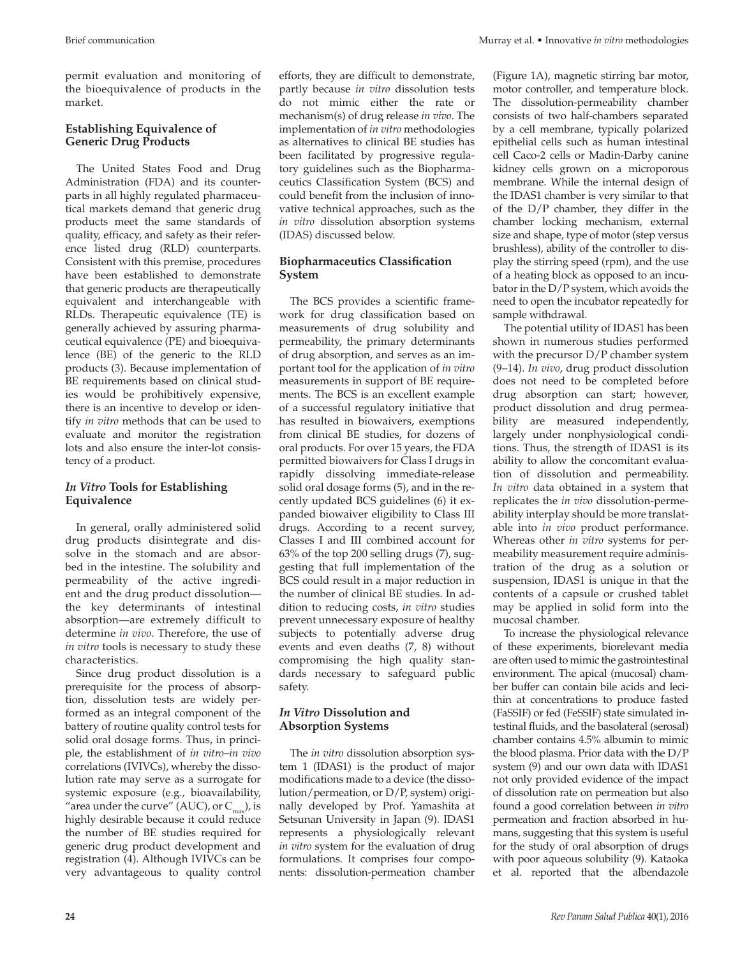permit evaluation and monitoring of the bioequivalence of products in the market.

# **Establishing Equivalence of Generic Drug Products**

The United States Food and Drug Administration (FDA) and its counterparts in all highly regulated pharmaceutical markets demand that generic drug products meet the same standards of quality, efficacy, and safety as their reference listed drug (RLD) counterparts. Consistent with this premise, procedures have been established to demonstrate that generic products are therapeutically equivalent and interchangeable with RLDs. Therapeutic equivalence (TE) is generally achieved by assuring pharmaceutical equivalence (PE) and bioequivalence (BE) of the generic to the RLD products (3). Because implementation of BE requirements based on clinical studies would be prohibitively expensive, there is an incentive to develop or identify *in vitro* methods that can be used to evaluate and monitor the registration lots and also ensure the inter-lot consistency of a product.

# *In Vitro* **Tools for Establishing Equivalence**

In general, orally administered solid drug products disintegrate and dissolve in the stomach and are absorbed in the intestine. The solubility and permeability of the active ingredient and the drug product dissolution the key determinants of intestinal absorption—are extremely difficult to determine *in vivo*. Therefore, the use of *in vitro* tools is necessary to study these characteristics.

Since drug product dissolution is a prerequisite for the process of absorption, dissolution tests are widely performed as an integral component of the battery of routine quality control tests for solid oral dosage forms. Thus, in principle, the establishment of *in vitro–in vivo*  correlations (IVIVCs), whereby the dissolution rate may serve as a surrogate for systemic exposure (e.g., bioavailability, "area under the curve" (AUC), or  $C_{\text{max}}$ ), is highly desirable because it could reduce the number of BE studies required for generic drug product development and registration (4). Although IVIVCs can be very advantageous to quality control

efforts, they are difficult to demonstrate, partly because *in vitro* dissolution tests do not mimic either the rate or mechanism(s) of drug release *in vivo*. The implementation of *in vitro* methodologies as alternatives to clinical BE studies has

been facilitated by progressive regulatory guidelines such as the Biopharmaceutics Classification System (BCS) and could benefit from the inclusion of innovative technical approaches, such as the *in vitro* dissolution absorption systems (IDAS) discussed below.

# **Biopharmaceutics Classification System**

The BCS provides a scientific framework for drug classification based on measurements of drug solubility and permeability, the primary determinants of drug absorption, and serves as an important tool for the application of *in vitro* measurements in support of BE requirements. The BCS is an excellent example of a successful regulatory initiative that has resulted in biowaivers, exemptions from clinical BE studies, for dozens of oral products. For over 15 years, the FDA permitted biowaivers for Class I drugs in rapidly dissolving immediate-release solid oral dosage forms (5), and in the recently updated BCS guidelines (6) it expanded biowaiver eligibility to Class III drugs. According to a recent survey, Classes I and III combined account for 63% of the top 200 selling drugs (7), suggesting that full implementation of the BCS could result in a major reduction in the number of clinical BE studies. In addition to reducing costs, *in vitro* studies prevent unnecessary exposure of healthy subjects to potentially adverse drug events and even deaths (7, 8) without compromising the high quality standards necessary to safeguard public safety.

# *In Vitro* **Dissolution and Absorption Systems**

The *in vitro* dissolution absorption system 1 (IDAS1) is the product of major modifications made to a device (the dissolution/permeation, or D/P, system) originally developed by Prof. Yamashita at Setsunan University in Japan (9). IDAS1 represents a physiologically relevant *in vitro* system for the evaluation of drug formulations. It comprises four components: dissolution-permeation chamber

(Figure 1A), magnetic stirring bar motor, motor controller, and temperature block. The dissolution-permeability chamber consists of two half-chambers separated by a cell membrane, typically polarized epithelial cells such as human intestinal cell Caco-2 cells or Madin-Darby canine kidney cells grown on a microporous membrane. While the internal design of the IDAS1 chamber is very similar to that of the D/P chamber, they differ in the chamber locking mechanism, external size and shape, type of motor (step versus brushless), ability of the controller to display the stirring speed (rpm), and the use of a heating block as opposed to an incubator in the D/P system, which avoids the need to open the incubator repeatedly for sample withdrawal.

The potential utility of IDAS1 has been shown in numerous studies performed with the precursor D/P chamber system (9–14). *In vivo*, drug product dissolution does not need to be completed before drug absorption can start; however, product dissolution and drug permeability are measured independently, largely under nonphysiological conditions. Thus, the strength of IDAS1 is its ability to allow the concomitant evaluation of dissolution and permeability. *In vitro* data obtained in a system that replicates the *in vivo* dissolution-permeability interplay should be more translatable into *in vivo* product performance. Whereas other *in vitro* systems for permeability measurement require administration of the drug as a solution or suspension, IDAS1 is unique in that the contents of a capsule or crushed tablet may be applied in solid form into the mucosal chamber.

To increase the physiological relevance of these experiments, biorelevant media are often used to mimic the gastrointestinal environment. The apical (mucosal) chamber buffer can contain bile acids and lecithin at concentrations to produce fasted (FaSSIF) or fed (FeSSIF) state simulated intestinal fluids, and the basolateral (serosal) chamber contains 4.5% albumin to mimic the blood plasma. Prior data with the D/P system (9) and our own data with IDAS1 not only provided evidence of the impact of dissolution rate on permeation but also found a good correlation between *in vitro* permeation and fraction absorbed in humans, suggesting that this system is useful for the study of oral absorption of drugs with poor aqueous solubility (9). Kataoka et al. reported that the albendazole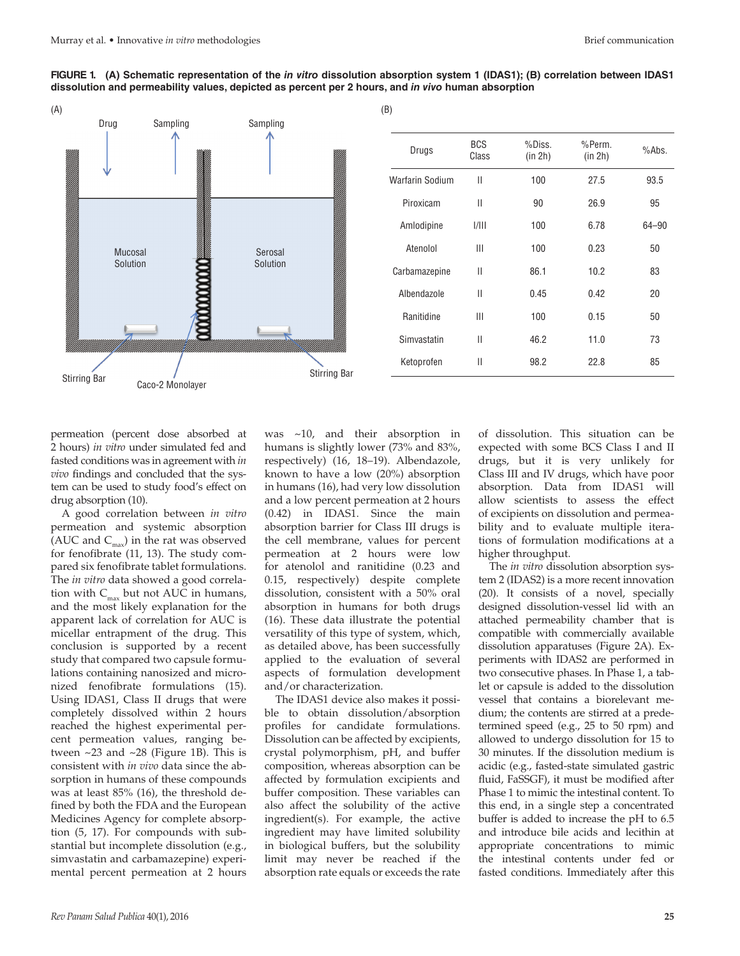



permeation (percent dose absorbed at 2 hours) *in vitro* under simulated fed and fasted conditions was in agreement with *in vivo* findings and concluded that the system can be used to study food's effect on drug absorption (10).

A good correlation between *in vitro* permeation and systemic absorption (AUC and  $C_{\text{max}}$ ) in the rat was observed for fenofibrate (11, 13). The study compared six fenofibrate tablet formulations. The *in vitro* data showed a good correlation with  $C_{\text{max}}$  but not AUC in humans, and the most likely explanation for the apparent lack of correlation for AUC is micellar entrapment of the drug. This conclusion is supported by a recent study that compared two capsule formulations containing nanosized and micronized fenofibrate formulations (15). Using IDAS1, Class II drugs that were completely dissolved within 2 hours reached the highest experimental percent permeation values, ranging between ~23 and ~28 (Figure 1B). This is consistent with *in vivo* data since the absorption in humans of these compounds was at least 85% (16), the threshold defined by both the FDA and the European Medicines Agency for complete absorption (5, 17). For compounds with substantial but incomplete dissolution (e.g., simvastatin and carbamazepine) experimental percent permeation at 2 hours

was ~10, and their absorption in humans is slightly lower (73% and 83%, respectively) (16, 18–19). Albendazole, known to have a low (20%) absorption in humans (16), had very low dissolution and a low percent permeation at 2 hours (0.42) in IDAS1. Since the main absorption barrier for Class III drugs is the cell membrane, values for percent permeation at 2 hours were low for atenolol and ranitidine (0.23 and 0.15, respectively) despite complete dissolution, consistent with a 50% oral absorption in humans for both drugs (16). These data illustrate the potential versatility of this type of system, which, as detailed above, has been successfully applied to the evaluation of several aspects of formulation development and/or characterization.

The IDAS1 device also makes it possible to obtain dissolution/absorption profiles for candidate formulations. Dissolution can be affected by excipients, crystal polymorphism, pH, and buffer composition, whereas absorption can be affected by formulation excipients and buffer composition. These variables can also affect the solubility of the active ingredient(s). For example, the active ingredient may have limited solubility in biological buffers, but the solubility limit may never be reached if the absorption rate equals or exceeds the rate

of dissolution. This situation can be expected with some BCS Class I and II drugs, but it is very unlikely for Class III and IV drugs, which have poor absorption. Data from IDAS1 will allow scientists to assess the effect of excipients on dissolution and permeability and to evaluate multiple iterations of formulation modifications at a higher throughput.

The *in vitro* dissolution absorption system 2 (IDAS2) is a more recent innovation (20). It consists of a novel, specially designed dissolution-vessel lid with an attached permeability chamber that is compatible with commercially available dissolution apparatuses (Figure 2A). Experiments with IDAS2 are performed in two consecutive phases. In Phase 1, a tablet or capsule is added to the dissolution vessel that contains a biorelevant medium; the contents are stirred at a predetermined speed (e.g., 25 to 50 rpm) and allowed to undergo dissolution for 15 to 30 minutes. If the dissolution medium is acidic (e.g., fasted-state simulated gastric fluid, FaSSGF), it must be modified after Phase 1 to mimic the intestinal content. To this end, in a single step a concentrated buffer is added to increase the pH to 6.5 and introduce bile acids and lecithin at appropriate concentrations to mimic the intestinal contents under fed or fasted conditions. Immediately after this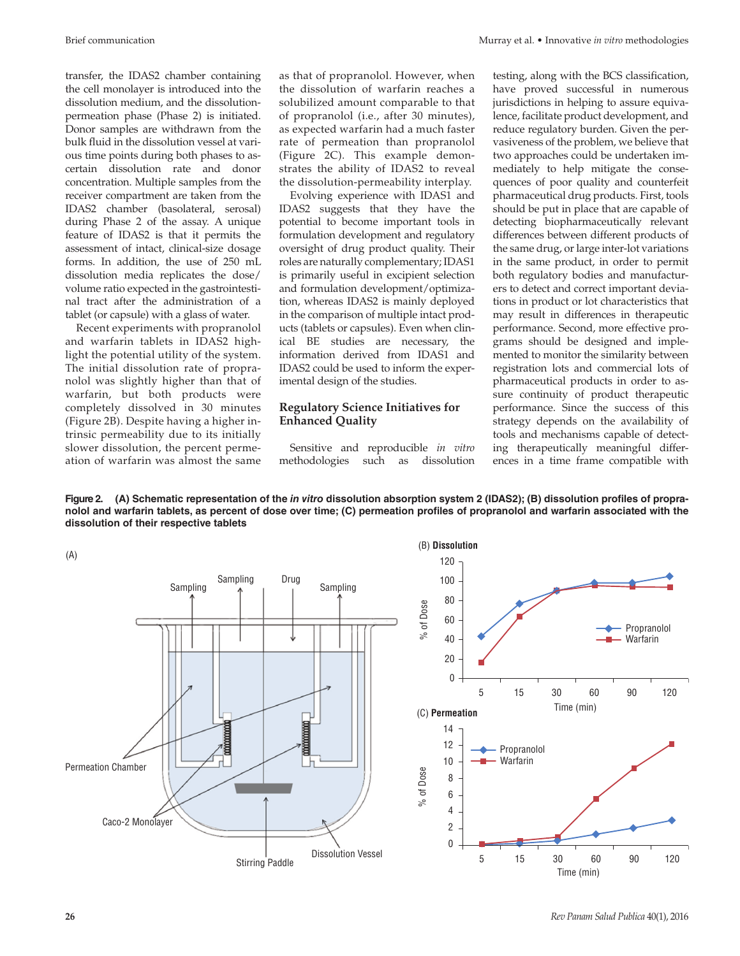transfer, the IDAS2 chamber containing the cell monolayer is introduced into the dissolution medium, and the dissolutionpermeation phase (Phase 2) is initiated. Donor samples are withdrawn from the bulk fluid in the dissolution vessel at various time points during both phases to ascertain dissolution rate and donor concentration. Multiple samples from the receiver compartment are taken from the IDAS2 chamber (basolateral, serosal) during Phase 2 of the assay. A unique feature of IDAS2 is that it permits the assessment of intact, clinical-size dosage forms. In addition, the use of 250 mL dissolution media replicates the dose/ volume ratio expected in the gastrointestinal tract after the administration of a tablet (or capsule) with a glass of water.

Recent experiments with propranolol and warfarin tablets in IDAS2 highlight the potential utility of the system. The initial dissolution rate of propranolol was slightly higher than that of warfarin, but both products were completely dissolved in 30 minutes (Figure 2B). Despite having a higher intrinsic permeability due to its initially slower dissolution, the percent permeation of warfarin was almost the same as that of propranolol. However, when the dissolution of warfarin reaches a solubilized amount comparable to that of propranolol (i.e., after 30 minutes), as expected warfarin had a much faster rate of permeation than propranolol (Figure 2C). This example demonstrates the ability of IDAS2 to reveal the dissolution-permeability interplay.

Evolving experience with IDAS1 and IDAS2 suggests that they have the potential to become important tools in formulation development and regulatory oversight of drug product quality. Their roles are naturally complementary; IDAS1 is primarily useful in excipient selection and formulation development/optimization, whereas IDAS2 is mainly deployed in the comparison of multiple intact products (tablets or capsules). Even when clinical BE studies are necessary, the information derived from IDAS1 and IDAS2 could be used to inform the experimental design of the studies.

#### **Regulatory Science Initiatives for Enhanced Quality**

Sensitive and reproducible *in vitro* methodologies such as dissolution testing, along with the BCS classification, have proved successful in numerous jurisdictions in helping to assure equivalence, facilitate product development, and reduce regulatory burden. Given the pervasiveness of the problem, we believe that two approaches could be undertaken immediately to help mitigate the consequences of poor quality and counterfeit pharmaceutical drug products. First, tools should be put in place that are capable of detecting biopharmaceutically relevant differences between different products of the same drug, or large inter-lot variations in the same product, in order to permit both regulatory bodies and manufacturers to detect and correct important deviations in product or lot characteristics that may result in differences in therapeutic performance. Second, more effective programs should be designed and implemented to monitor the similarity between registration lots and commercial lots of pharmaceutical products in order to assure continuity of product therapeutic performance. Since the success of this strategy depends on the availability of tools and mechanisms capable of detecting therapeutically meaningful differences in a time frame compatible with

**Figure 2. (A) Schematic representation of the** *in vitro* **dissolution absorption system 2 (IDAS2); (B) dissolution profiles of propranolol and warfarin tablets, as percent of dose over time; (C) permeation profiles of propranolol and warfarin associated with the dissolution of their respective tablets**



**26** *Rev Panam Salud Publica* 40(1), 2016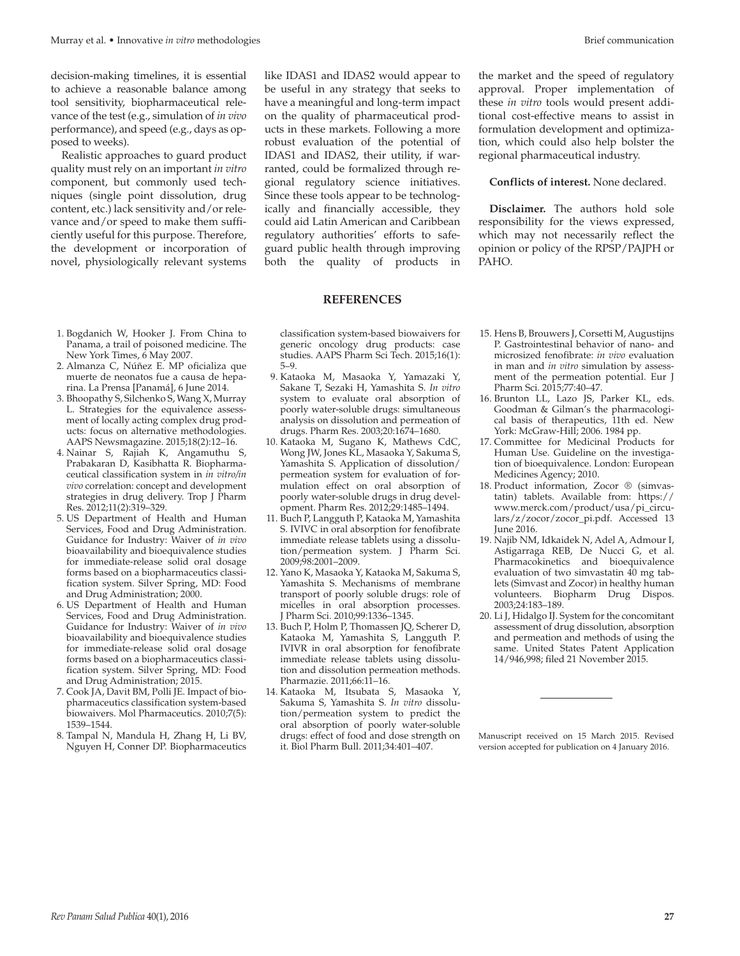decision-making timelines, it is essential to achieve a reasonable balance among tool sensitivity, biopharmaceutical relevance of the test (e.g., simulation of *in vivo* performance), and speed (e.g., days as opposed to weeks).

Realistic approaches to guard product quality must rely on an important *in vitro* component, but commonly used techniques (single point dissolution, drug content, etc.) lack sensitivity and/or relevance and/or speed to make them sufficiently useful for this purpose. Therefore, the development or incorporation of novel, physiologically relevant systems

like IDAS1 and IDAS2 would appear to be useful in any strategy that seeks to have a meaningful and long-term impact on the quality of pharmaceutical products in these markets. Following a more robust evaluation of the potential of IDAS1 and IDAS2, their utility, if warranted, could be formalized through regional regulatory science initiatives. Since these tools appear to be technologically and financially accessible, they could aid Latin American and Caribbean regulatory authorities' efforts to safeguard public health through improving both the quality of products in

the market and the speed of regulatory approval. Proper implementation of these *in vitro* tools would present additional cost-effective means to assist in formulation development and optimization, which could also help bolster the regional pharmaceutical industry.

#### **Conflicts of interest.** None declared.

**Disclaimer.** The authors hold sole responsibility for the views expressed, which may not necessarily reflect the opinion or policy of the RPSP/PAJPH or PAHO.

- 1. Bogdanich W, Hooker J. From China to Panama, a trail of poisoned medicine. The New York Times, 6 May 2007.
- 2. Almanza C, Núñez E. MP oficializa que muerte de neonatos fue a causa de heparina. La Prensa [Panamá], 6 June 2014.
- 3. Bhoopathy S, Silchenko S, Wang X, Murray L. Strategies for the equivalence assessment of locally acting complex drug products: focus on alternative methodologies. AAPS Newsmagazine. 2015;18(2):12–16.
- 4. Nainar S, Rajiah K, Angamuthu S, Prabakaran D, Kasibhatta R. Biopharmaceutical classification system in *in vitro/in vivo* correlation: concept and development strategies in drug delivery. Trop J Pharm Res. 2012;11(2):319–329.
- 5. US Department of Health and Human Services, Food and Drug Administration. Guidance for Industry: Waiver of *in vivo*  bioavailability and bioequivalence studies for immediate-release solid oral dosage forms based on a biopharmaceutics classification system. Silver Spring, MD: Food and Drug Administration; 2000.
- 6. US Department of Health and Human Services, Food and Drug Administration. Guidance for Industry: Waiver of *in vivo*  bioavailability and bioequivalence studies for immediate-release solid oral dosage forms based on a biopharmaceutics classification system. Silver Spring, MD: Food and Drug Administration; 2015.
- 7. Cook JA, Davit BM, Polli JE. Impact of biopharmaceutics classification system-based biowaivers. Mol Pharmaceutics. 2010;7(5): 1539–1544.
- 8. Tampal N, Mandula H, Zhang H, Li BV, Nguyen H, Conner DP. Biopharmaceutics

classification system-based biowaivers for generic oncology drug products: case studies. AAPS Pharm Sci Tech. 2015;16(1): 5–9.

**REFERENCES**

- 9. Kataoka M, Masaoka Y, Yamazaki Y, Sakane T, Sezaki H, Yamashita S. *In vitro* system to evaluate oral absorption of poorly water-soluble drugs: simultaneous analysis on dissolution and permeation of drugs. Pharm Res. 2003;20:1674–1680.
- 10. Kataoka M, Sugano K, Mathews CdC, Wong JW, Jones KL, Masaoka Y, Sakuma S, Yamashita S. Application of dissolution/ permeation system for evaluation of formulation effect on oral absorption of poorly water-soluble drugs in drug development. Pharm Res. 2012;29:1485–1494.
- 11. Buch P, Langguth P, Kataoka M, Yamashita S. IVIVC in oral absorption for fenofibrate immediate release tablets using a dissolution/permeation system. J Pharm Sci. 2009;98:2001–2009.
- 12. Yano K, Masaoka Y, Kataoka M, Sakuma S, Yamashita S. Mechanisms of membrane transport of poorly soluble drugs: role of micelles in oral absorption processes. J Pharm Sci. 2010;99:1336–1345.
- 13. Buch P, Holm P, Thomassen JQ, Scherer D, Kataoka M, Yamashita S, Langguth P. IVIVR in oral absorption for fenofibrate immediate release tablets using dissolution and dissolution permeation methods. Pharmazie. 2011;66:11–16.
- 14. Kataoka M, Itsubata S, Masaoka Y, Sakuma S, Yamashita S. *In vitro* dissolution/permeation system to predict the oral absorption of poorly water-soluble drugs: effect of food and dose strength on it. Biol Pharm Bull. 2011;34:401–407.
- 15. Hens B, Brouwers J, Corsetti M, Augustijns P. Gastrointestinal behavior of nano- and microsized fenofibrate: *in vivo* evaluation in man and *in vitro* simulation by assessment of the permeation potential. Eur J Pharm Sci. 2015;77:40–47.
- 16. Brunton LL, Lazo JS, Parker KL, eds. Goodman & Gilman's the pharmacological basis of therapeutics, 11th ed. New York: McGraw-Hill; 2006. 1984 pp.
- 17. Committee for Medicinal Products for Human Use. Guideline on the investigation of bioequivalence. London: European Medicines Agency; 2010.
- 18. Product information, Zocor ® (simvastatin) tablets. Available from: [https://](https://www.merck.com/product/usa/pi_circulars/z/zocor/zocor_pi.pdf) [www.merck.com/product/usa/pi\\_circu](https://www.merck.com/product/usa/pi_circulars/z/zocor/zocor_pi.pdf)[lars/z/zocor/zocor\\_pi.pdf.](https://www.merck.com/product/usa/pi_circulars/z/zocor/zocor_pi.pdf) Accessed 13 June 2016.
- 19. Najib NM, Idkaidek N, Adel A, Admour I, Astigarraga REB, De Nucci G, et al. Pharmacokinetics and bioequivalence evaluation of two simvastatin 40 mg tablets (Simvast and Zocor) in healthy human volunteers. Biopharm Drug Dispos. 2003;24:183–189.
- 20. Li J, Hidalgo IJ. System for the concomitant assessment of drug dissolution, absorption and permeation and methods of using the same. United States Patent Application 14/946,998; filed 21 November 2015.

Manuscript received on 15 March 2015. Revised version accepted for publication on 4 January 2016.